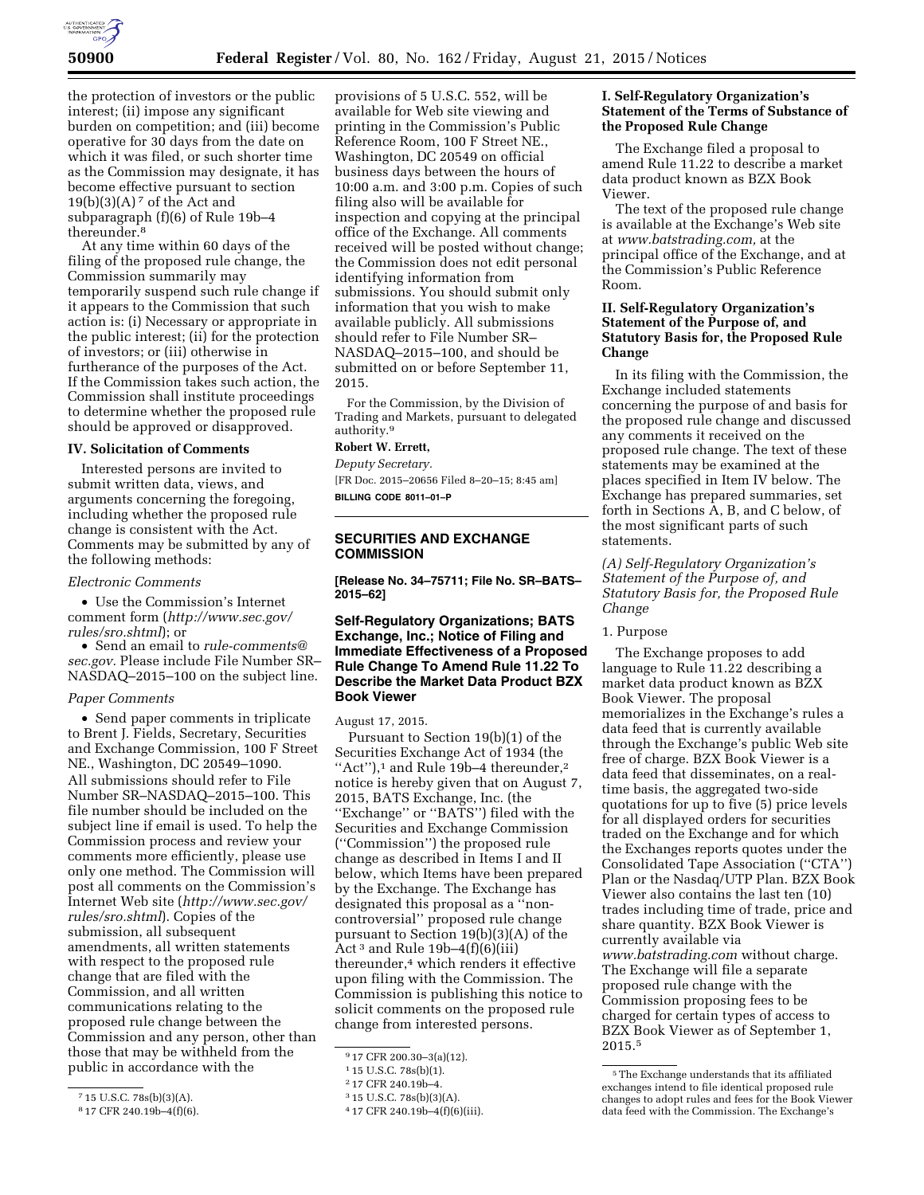

the protection of investors or the public interest; (ii) impose any significant burden on competition; and (iii) become operative for 30 days from the date on which it was filed, or such shorter time as the Commission may designate, it has become effective pursuant to section  $19(b)(3)(A)<sup>7</sup>$  of the Act and subparagraph (f)(6) of Rule 19b–4 thereunder.8

At any time within 60 days of the filing of the proposed rule change, the Commission summarily may temporarily suspend such rule change if it appears to the Commission that such action is: (i) Necessary or appropriate in the public interest; (ii) for the protection of investors; or (iii) otherwise in furtherance of the purposes of the Act. If the Commission takes such action, the Commission shall institute proceedings to determine whether the proposed rule should be approved or disapproved.

# **IV. Solicitation of Comments**

Interested persons are invited to submit written data, views, and arguments concerning the foregoing, including whether the proposed rule change is consistent with the Act. Comments may be submitted by any of the following methods:

#### *Electronic Comments*

• Use the Commission's Internet comment form (*[http://www.sec.gov/](http://www.sec.gov/rules/sro.shtml) [rules/sro.shtml](http://www.sec.gov/rules/sro.shtml)*); or

• Send an email to *[rule-comments@](mailto:rule-comments@sec.gov) [sec.gov.](mailto:rule-comments@sec.gov)* Please include File Number SR– NASDAQ–2015–100 on the subject line.

#### *Paper Comments*

• Send paper comments in triplicate to Brent J. Fields, Secretary, Securities and Exchange Commission, 100 F Street NE., Washington, DC 20549–1090. All submissions should refer to File Number SR–NASDAQ–2015–100. This file number should be included on the subject line if email is used. To help the Commission process and review your comments more efficiently, please use only one method. The Commission will post all comments on the Commission's Internet Web site (*[http://www.sec.gov/](http://www.sec.gov/rules/sro.shtml) [rules/sro.shtml](http://www.sec.gov/rules/sro.shtml)*). Copies of the submission, all subsequent amendments, all written statements with respect to the proposed rule change that are filed with the Commission, and all written communications relating to the proposed rule change between the Commission and any person, other than those that may be withheld from the public in accordance with the

provisions of 5 U.S.C. 552, will be available for Web site viewing and printing in the Commission's Public Reference Room, 100 F Street NE., Washington, DC 20549 on official business days between the hours of 10:00 a.m. and 3:00 p.m. Copies of such filing also will be available for inspection and copying at the principal office of the Exchange. All comments received will be posted without change; the Commission does not edit personal identifying information from submissions. You should submit only information that you wish to make available publicly. All submissions should refer to File Number SR– NASDAQ–2015–100, and should be submitted on or before September 11, 2015.

For the Commission, by the Division of Trading and Markets, pursuant to delegated authority.<sup>9</sup>

# **Robert W. Errett,**

*Deputy Secretary.*  [FR Doc. 2015–20656 Filed 8–20–15; 8:45 am]

**BILLING CODE 8011–01–P** 

# **SECURITIES AND EXCHANGE COMMISSION**

**[Release No. 34–75711; File No. SR–BATS– 2015–62]** 

# **Self-Regulatory Organizations; BATS Exchange, Inc.; Notice of Filing and Immediate Effectiveness of a Proposed Rule Change To Amend Rule 11.22 To Describe the Market Data Product BZX Book Viewer**

August 17, 2015.

Pursuant to Section 19(b)(1) of the Securities Exchange Act of 1934 (the ''Act''),1 and Rule 19b–4 thereunder,2 notice is hereby given that on August 7, 2015, BATS Exchange, Inc. (the ''Exchange'' or ''BATS'') filed with the Securities and Exchange Commission (''Commission'') the proposed rule change as described in Items I and II below, which Items have been prepared by the Exchange. The Exchange has designated this proposal as a ''noncontroversial'' proposed rule change pursuant to Section 19(b)(3)(A) of the Act<sup>3</sup> and Rule 19b–4 $(f)(6)(iii)$ thereunder,4 which renders it effective upon filing with the Commission. The Commission is publishing this notice to solicit comments on the proposed rule change from interested persons.

### **I. Self-Regulatory Organization's Statement of the Terms of Substance of the Proposed Rule Change**

The Exchange filed a proposal to amend Rule 11.22 to describe a market data product known as BZX Book Viewer.

The text of the proposed rule change is available at the Exchange's Web site at *[www.batstrading.com,](http://www.batstrading.com)* at the principal office of the Exchange, and at the Commission's Public Reference Room.

# **II. Self-Regulatory Organization's Statement of the Purpose of, and Statutory Basis for, the Proposed Rule Change**

In its filing with the Commission, the Exchange included statements concerning the purpose of and basis for the proposed rule change and discussed any comments it received on the proposed rule change. The text of these statements may be examined at the places specified in Item IV below. The Exchange has prepared summaries, set forth in Sections A, B, and C below, of the most significant parts of such statements.

*(A) Self-Regulatory Organization's Statement of the Purpose of, and Statutory Basis for, the Proposed Rule Change* 

#### 1. Purpose

The Exchange proposes to add language to Rule 11.22 describing a market data product known as BZX Book Viewer. The proposal memorializes in the Exchange's rules a data feed that is currently available through the Exchange's public Web site free of charge. BZX Book Viewer is a data feed that disseminates, on a realtime basis, the aggregated two-side quotations for up to five (5) price levels for all displayed orders for securities traded on the Exchange and for which the Exchanges reports quotes under the Consolidated Tape Association (''CTA'') Plan or the Nasdaq/UTP Plan. BZX Book Viewer also contains the last ten (10) trades including time of trade, price and share quantity. BZX Book Viewer is currently available via *[www.batstrading.com](http://www.batstrading.com)* without charge. The Exchange will file a separate proposed rule change with the Commission proposing fees to be charged for certain types of access to BZX Book Viewer as of September 1, 2015.5

<sup>7</sup> 15 U.S.C. 78s(b)(3)(A).

<sup>8</sup> 17 CFR 240.19b–4(f)(6).

<sup>9</sup> 17 CFR 200.30–3(a)(12).

<sup>1</sup> 15 U.S.C. 78s(b)(1).

<sup>2</sup> 17 CFR 240.19b–4.

<sup>3</sup> 15 U.S.C. 78s(b)(3)(A).

<sup>4</sup> 17 CFR 240.19b–4(f)(6)(iii).

<sup>5</sup>The Exchange understands that its affiliated exchanges intend to file identical proposed rule changes to adopt rules and fees for the Book Viewer data feed with the Commission. The Exchange's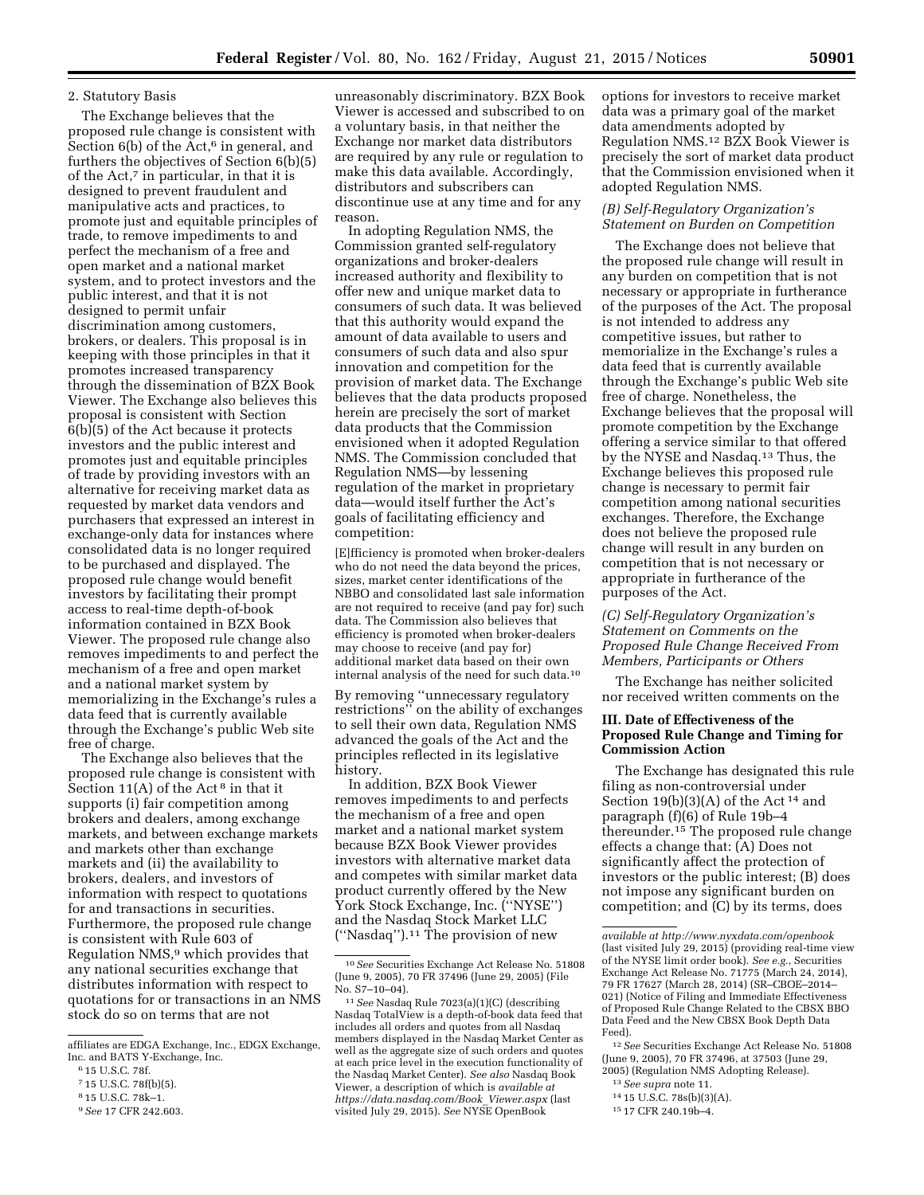# 2. Statutory Basis

The Exchange believes that the proposed rule change is consistent with Section  $6(b)$  of the Act, $6$  in general, and furthers the objectives of Section 6(b)(5) of the Act,<sup>7</sup> in particular, in that it is designed to prevent fraudulent and manipulative acts and practices, to promote just and equitable principles of trade, to remove impediments to and perfect the mechanism of a free and open market and a national market system, and to protect investors and the public interest, and that it is not designed to permit unfair discrimination among customers, brokers, or dealers. This proposal is in keeping with those principles in that it promotes increased transparency through the dissemination of BZX Book Viewer. The Exchange also believes this proposal is consistent with Section 6(b)(5) of the Act because it protects investors and the public interest and promotes just and equitable principles of trade by providing investors with an alternative for receiving market data as requested by market data vendors and purchasers that expressed an interest in exchange-only data for instances where consolidated data is no longer required to be purchased and displayed. The proposed rule change would benefit investors by facilitating their prompt access to real-time depth-of-book information contained in BZX Book Viewer. The proposed rule change also removes impediments to and perfect the mechanism of a free and open market and a national market system by memorializing in the Exchange's rules a data feed that is currently available through the Exchange's public Web site free of charge.

The Exchange also believes that the proposed rule change is consistent with Section 11(A) of the Act<sup>8</sup> in that it supports (i) fair competition among brokers and dealers, among exchange markets, and between exchange markets and markets other than exchange markets and (ii) the availability to brokers, dealers, and investors of information with respect to quotations for and transactions in securities. Furthermore, the proposed rule change is consistent with Rule 603 of Regulation NMS,<sup>9</sup> which provides that any national securities exchange that distributes information with respect to quotations for or transactions in an NMS stock do so on terms that are not

unreasonably discriminatory. BZX Book Viewer is accessed and subscribed to on a voluntary basis, in that neither the Exchange nor market data distributors are required by any rule or regulation to make this data available. Accordingly, distributors and subscribers can discontinue use at any time and for any reason.

In adopting Regulation NMS, the Commission granted self-regulatory organizations and broker-dealers increased authority and flexibility to offer new and unique market data to consumers of such data. It was believed that this authority would expand the amount of data available to users and consumers of such data and also spur innovation and competition for the provision of market data. The Exchange believes that the data products proposed herein are precisely the sort of market data products that the Commission envisioned when it adopted Regulation NMS. The Commission concluded that Regulation NMS—by lessening regulation of the market in proprietary data—would itself further the Act's goals of facilitating efficiency and competition:

[E]fficiency is promoted when broker-dealers who do not need the data beyond the prices, sizes, market center identifications of the NBBO and consolidated last sale information are not required to receive (and pay for) such data. The Commission also believes that efficiency is promoted when broker-dealers may choose to receive (and pay for) additional market data based on their own internal analysis of the need for such data.10

By removing ''unnecessary regulatory restrictions'' on the ability of exchanges to sell their own data, Regulation NMS advanced the goals of the Act and the principles reflected in its legislative history.

In addition, BZX Book Viewer removes impediments to and perfects the mechanism of a free and open market and a national market system because BZX Book Viewer provides investors with alternative market data and competes with similar market data product currently offered by the New York Stock Exchange, Inc. (''NYSE'') and the Nasdaq Stock Market LLC (''Nasdaq'').11 The provision of new

options for investors to receive market data was a primary goal of the market data amendments adopted by Regulation NMS.12 BZX Book Viewer is precisely the sort of market data product that the Commission envisioned when it adopted Regulation NMS.

### *(B) Self-Regulatory Organization's Statement on Burden on Competition*

The Exchange does not believe that the proposed rule change will result in any burden on competition that is not necessary or appropriate in furtherance of the purposes of the Act. The proposal is not intended to address any competitive issues, but rather to memorialize in the Exchange's rules a data feed that is currently available through the Exchange's public Web site free of charge. Nonetheless, the Exchange believes that the proposal will promote competition by the Exchange offering a service similar to that offered by the NYSE and Nasdaq.13 Thus, the Exchange believes this proposed rule change is necessary to permit fair competition among national securities exchanges. Therefore, the Exchange does not believe the proposed rule change will result in any burden on competition that is not necessary or appropriate in furtherance of the purposes of the Act.

# *(C) Self-Regulatory Organization's Statement on Comments on the Proposed Rule Change Received From Members, Participants or Others*

The Exchange has neither solicited nor received written comments on the

### **III. Date of Effectiveness of the Proposed Rule Change and Timing for Commission Action**

The Exchange has designated this rule filing as non-controversial under Section 19(b)(3)(A) of the Act<sup>14</sup> and paragraph (f)(6) of Rule 19b–4 thereunder.15 The proposed rule change effects a change that: (A) Does not significantly affect the protection of investors or the public interest; (B) does not impose any significant burden on competition; and (C) by its terms, does

12*See* Securities Exchange Act Release No. 51808 (June 9, 2005), 70 FR 37496, at 37503 (June 29, 2005) (Regulation NMS Adopting Release).

- 13*See supra* note 11.
- 14 15 U.S.C. 78s(b)(3)(A).

affiliates are EDGA Exchange, Inc., EDGX Exchange, Inc. and BATS Y-Exchange, Inc.

<sup>6</sup> 15 U.S.C. 78f.

<sup>7</sup> 15 U.S.C. 78f(b)(5).

<sup>8</sup> 15 U.S.C. 78k–1.

<sup>9</sup>*See* 17 CFR 242.603.

<sup>10</sup>*See* Securities Exchange Act Release No. 51808 (June 9, 2005), 70 FR 37496 (June 29, 2005) (File No. S7–10–04).

<sup>11</sup>*See* Nasdaq Rule 7023(a)(1)(C) (describing Nasdaq TotalView is a depth-of-book data feed that includes all orders and quotes from all Nasdaq members displayed in the Nasdaq Market Center as well as the aggregate size of such orders and quotes at each price level in the execution functionality of the Nasdaq Market Center). *See also* Nasdaq Book Viewer, a description of which is *available at [https://data.nasdaq.com/Book](https://data.nasdaq.com/Book_Viewer.aspx)*\_*Viewer.aspx* (last visited July 29, 2015). *See* NYSE OpenBook

*available at<http://www.nyxdata.com/openbook>* (last visited July 29, 2015) (providing real-time view of the NYSE limit order book). *See e.g.*, Securities Exchange Act Release No. 71775 (March 24, 2014), 79 FR 17627 (March 28, 2014) (SR–CBOE–2014– 021) (Notice of Filing and Immediate Effectiveness of Proposed Rule Change Related to the CBSX BBO Data Feed and the New CBSX Book Depth Data Feed).

<sup>15</sup> 17 CFR 240.19b–4.